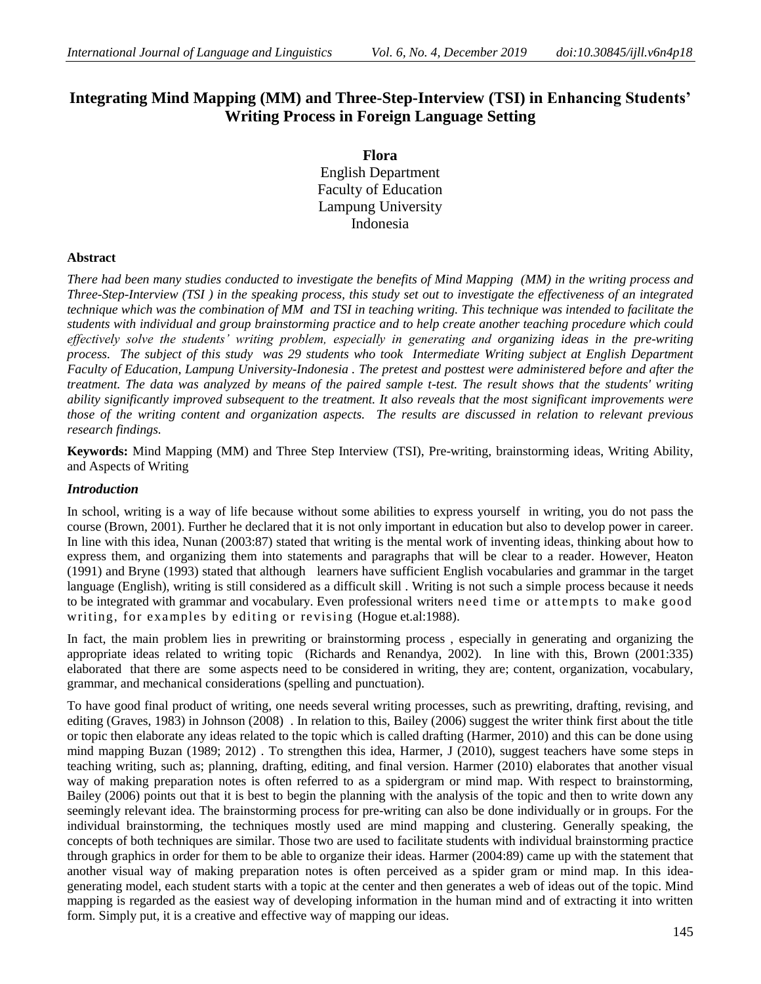## **Integrating Mind Mapping (MM) and Three-Step-Interview (TSI) in Enhancing Students' Writing Process in Foreign Language Setting**

**Flora** English Department Faculty of Education Lampung University Indonesia

#### **Abstract**

*There had been many studies conducted to investigate the benefits of Mind Mapping (MM) in the writing process and Three-Step-Interview (TSI ) in the speaking process, this study set out to investigate the effectiveness of an integrated technique which was the combination of MM and TSI in teaching writing. This technique was intended to facilitate the students with individual and group brainstorming practice and to help create another teaching procedure which could effectively solve the students' writing problem, especially in generating and organizing ideas in the pre-writing process. The subject of this study was 29 students who took Intermediate Writing subject at English Department Faculty of Education, Lampung University-Indonesia . The pretest and posttest were administered before and after the treatment. The data was analyzed by means of the paired sample t-test. The result shows that the students' writing ability significantly improved subsequent to the treatment. It also reveals that the most significant improvements were those of the writing content and organization aspects. The results are discussed in relation to relevant previous research findings.* 

**Keywords:** Mind Mapping (MM) and Three Step Interview (TSI), Pre-writing, brainstorming ideas, Writing Ability, and Aspects of Writing

#### *Introduction*

In school, writing is a way of life because without some abilities to express yourself in writing, you do not pass the course (Brown, 2001). Further he declared that it is not only important in education but also to develop power in career. In line with this idea, Nunan (2003:87) stated that writing is the mental work of inventing ideas, thinking about how to express them, and organizing them into statements and paragraphs that will be clear to a reader. However, Heaton (1991) and Bryne (1993) stated that although learners have sufficient English vocabularies and grammar in the target language (English), writing is still considered as a difficult skill . Writing is not such a simple process because it needs to be integrated with grammar and vocabulary. Even professional writers need time or attempts to make good writing, for examples by editing or revising (Hogue et.al:1988).

In fact, the main problem lies in prewriting or brainstorming process , especially in generating and organizing the appropriate ideas related to writing topic (Richards and Renandya, 2002). In line with this, Brown (2001:335) elaborated that there are some aspects need to be considered in writing, they are; content, organization, vocabulary, grammar, and mechanical considerations (spelling and punctuation).

To have good final product of writing, one needs several writing processes, such as prewriting, drafting, revising, and editing (Graves, 1983) in Johnson (2008) . In relation to this, Bailey (2006) suggest the writer think first about the title or topic then elaborate any ideas related to the topic which is called drafting (Harmer, 2010) and this can be done using mind mapping Buzan (1989; 2012) . To strengthen this idea, Harmer, J (2010), suggest teachers have some steps in teaching writing, such as; planning, drafting, editing, and final version. Harmer (2010) elaborates that another visual way of making preparation notes is often referred to as a spidergram or mind map. With respect to brainstorming, Bailey (2006) points out that it is best to begin the planning with the analysis of the topic and then to write down any seemingly relevant idea. The brainstorming process for pre-writing can also be done individually or in groups. For the individual brainstorming, the techniques mostly used are mind mapping and clustering. Generally speaking, the concepts of both techniques are similar. Those two are used to facilitate students with individual brainstorming practice through graphics in order for them to be able to organize their ideas. Harmer (2004:89) came up with the statement that another visual way of making preparation notes is often perceived as a spider gram or mind map. In this ideagenerating model, each student starts with a topic at the center and then generates a web of ideas out of the topic. Mind mapping is regarded as the easiest way of developing information in the human mind and of extracting it into written form. Simply put, it is a creative and effective way of mapping our ideas.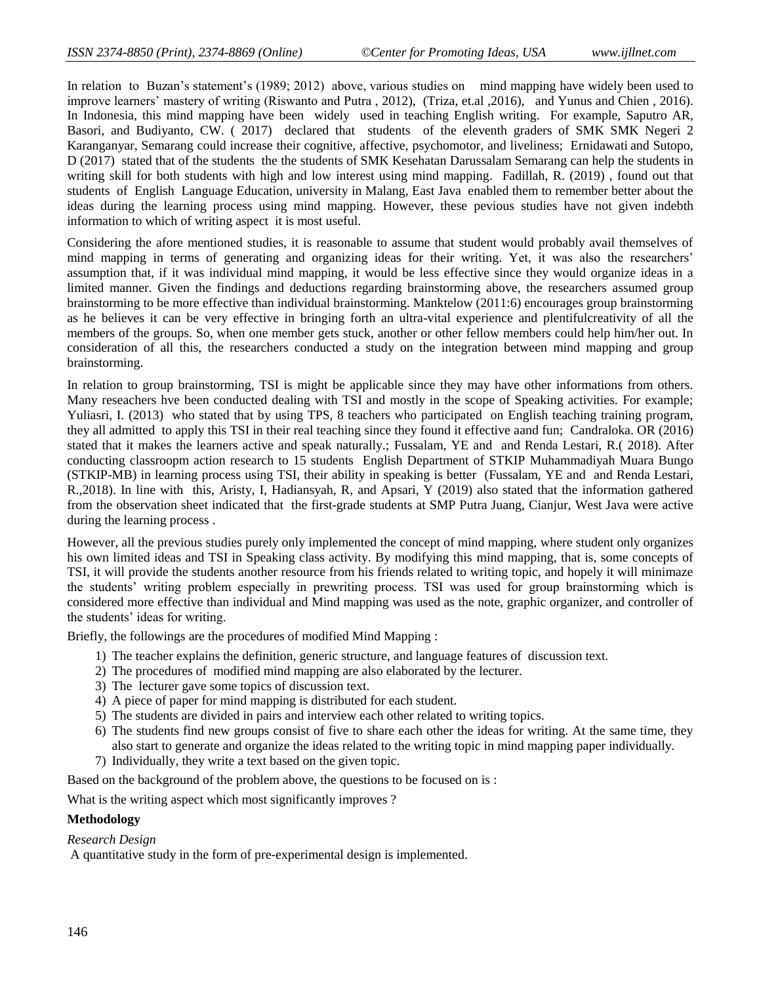In relation to Buzan's statement's (1989; 2012) above, various studies on mind mapping have widely been used to improve learners' mastery of writing (Riswanto and Putra , 2012), (Triza, et.al ,2016), and Yunus and Chien , 2016). In Indonesia, this mind mapping have been widely used in teaching English writing. For example, Saputro AR, Basori, and Budiyanto, CW. ( 2017) declared that students of the eleventh graders of SMK SMK Negeri 2 Karanganyar, Semarang could increase their cognitive, affective, psychomotor, and liveliness; Ernidawati and Sutopo, D (2017) stated that of the students the the students of SMK Kesehatan Darussalam Semarang can help the students in writing skill for both students with high and low interest using mind mapping. Fadillah, R. (2019) , found out that students of English Language Education, university in Malang, East Java enabled them to remember better about the ideas during the learning process using mind mapping. However, these pevious studies have not given indebth information to which of writing aspect it is most useful.

Considering the afore mentioned studies, it is reasonable to assume that student would probably avail themselves of mind mapping in terms of generating and organizing ideas for their writing. Yet, it was also the researchers' assumption that, if it was individual mind mapping, it would be less effective since they would organize ideas in a limited manner. Given the findings and deductions regarding brainstorming above, the researchers assumed group brainstorming to be more effective than individual brainstorming. Manktelow (2011:6) encourages group brainstorming as he believes it can be very effective in bringing forth an ultra-vital experience and plentifulcreativity of all the members of the groups. So, when one member gets stuck, another or other fellow members could help him/her out. In consideration of all this, the researchers conducted a study on the integration between mind mapping and group brainstorming.

In relation to group brainstorming, TSI is might be applicable since they may have other informations from others. Many reseachers hve been conducted dealing with TSI and mostly in the scope of Speaking activities. For example; Yuliasri, I. (2013) who stated that by using TPS, 8 teachers who participated on English teaching training program, they all admitted to apply this TSI in their real teaching since they found it effective aand fun; Candraloka. OR (2016) stated that it makes the learners active and speak naturally.; Fussalam, YE and and Renda Lestari, R.( 2018). After conducting classroopm action research to 15 students English Department of STKIP Muhammadiyah Muara Bungo (STKIP-MB) in learning process using TSI, their ability in speaking is better (Fussalam, YE and and Renda Lestari, R.,2018). In line with this, Aristy, I, Hadiansyah, R, and Apsari, Y (2019) also stated that the information gathered from the observation sheet indicated that the first-grade students at SMP Putra Juang, Cianjur, West Java were active during the learning process .

However, all the previous studies purely only implemented the concept of mind mapping, where student only organizes his own limited ideas and TSI in Speaking class activity. By modifying this mind mapping, that is, some concepts of TSI, it will provide the students another resource from his friends related to writing topic, and hopely it will minimaze the students' writing problem especially in prewriting process. TSI was used for group brainstorming which is considered more effective than individual and Mind mapping was used as the note, graphic organizer, and controller of the students' ideas for writing.

Briefly, the followings are the procedures of modified Mind Mapping :

- 1) The teacher explains the definition, generic structure, and language features of discussion text.
- 2) The procedures of modified mind mapping are also elaborated by the lecturer.
- 3) The lecturer gave some topics of discussion text.
- 4) A piece of paper for mind mapping is distributed for each student.
- 5) The students are divided in pairs and interview each other related to writing topics.
- 6) The students find new groups consist of five to share each other the ideas for writing. At the same time, they also start to generate and organize the ideas related to the writing topic in mind mapping paper individually.
- 7) Individually, they write a text based on the given topic.

Based on the background of the problem above, the questions to be focused on is :

What is the writing aspect which most significantly improves ?

#### **Methodology**

*Research Design*

A quantitative study in the form of pre-experimental design is implemented.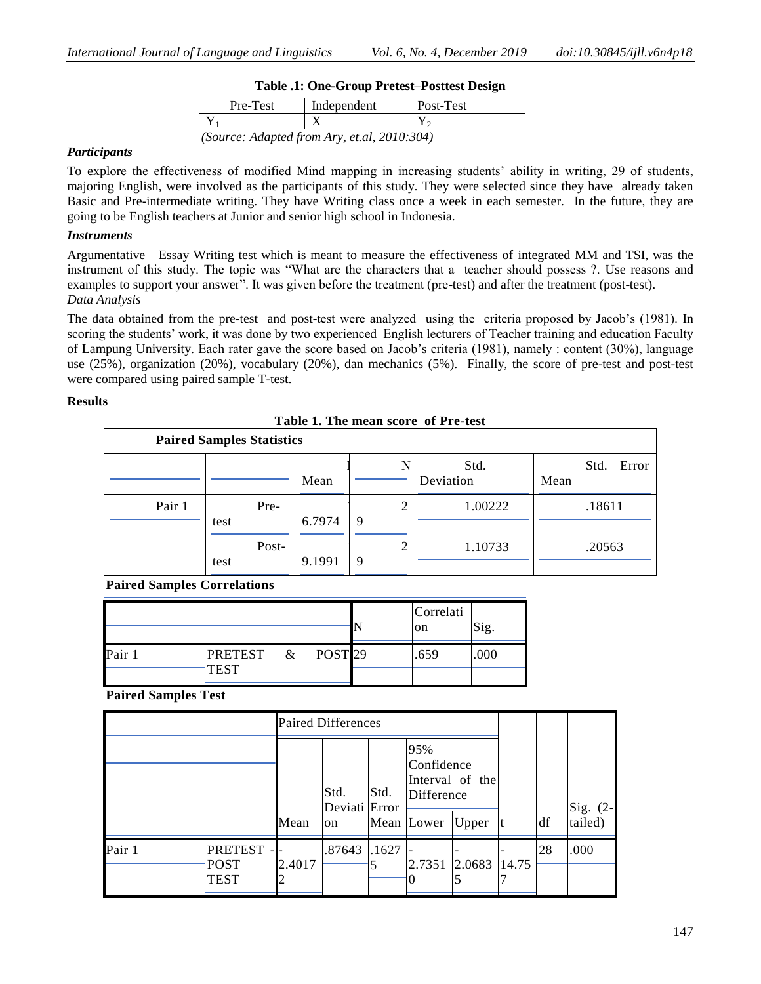| Table .1: One-Group Pretest-Posttest Design |             |           |  |  |  |
|---------------------------------------------|-------------|-----------|--|--|--|
| Pre-Test                                    | Independent | Post-Test |  |  |  |
|                                             |             |           |  |  |  |

# **Table .1: One-Group Pretest–Posttest Design**

*(Source: Adapted from Ary, et.al, 2010:304)*

#### *Participants*

To explore the effectiveness of modified Mind mapping in increasing students' ability in writing, 29 of students, majoring English, were involved as the participants of this study. They were selected since they have already taken Basic and Pre-intermediate writing. They have Writing class once a week in each semester. In the future, they are going to be English teachers at Junior and senior high school in Indonesia.

#### *Instruments*

Argumentative Essay Writing test which is meant to measure the effectiveness of integrated MM and TSI, was the instrument of this study. The topic was "What are the characters that a teacher should possess ?. Use reasons and examples to support your answer". It was given before the treatment (pre-test) and after the treatment (post-test). *Data Analysis*

The data obtained from the pre-test and post-test were analyzed using the criteria proposed by Jacob's (1981). In scoring the students' work, it was done by two experienced English lecturers of Teacher training and education Faculty of Lampung University. Each rater gave the score based on Jacob's criteria (1981), namely : content (30%), language use (25%), organization (20%), vocabulary (20%), dan mechanics (5%). Finally, the score of pre-test and post-test were compared using paired sample T-test.

#### **Results**

|  | Table 1. The mean score of Pre-test |
|--|-------------------------------------|
|  |                                     |

| <b>Paired Samples Statistics</b> |               |        |             |                   |                       |  |  |  |
|----------------------------------|---------------|--------|-------------|-------------------|-----------------------|--|--|--|
|                                  |               | Mean   | N           | Std.<br>Deviation | Error<br>Std.<br>Mean |  |  |  |
| Pair 1                           | Pre-<br>test  | 6.7974 | ◠<br>∠<br>9 | 1.00222           | .18611                |  |  |  |
|                                  | Post-<br>test | 9.1991 | 2<br>9      | 1.10733           | .20563                |  |  |  |

**Paired Samples Correlations**

|      |         |      |                    | Correlati<br>on | Sig. |
|------|---------|------|--------------------|-----------------|------|
| Pair | PRETEST | $\&$ | POST <sub>29</sub> | .659            | 000  |
|      | TEST    |      |                    |                 |      |

**Paired Samples Test**

|        |                                              | <b>Paired Differences</b> |                             |       |                                               |                          |       |     |                     |
|--------|----------------------------------------------|---------------------------|-----------------------------|-------|-----------------------------------------------|--------------------------|-------|-----|---------------------|
|        |                                              | Mean                      | Std.<br>Deviati Error<br>on | Std.  | 95%<br>Confidence<br>Difference<br>Mean Lower | Interval of the<br>Upper |       | ldf | Sig. (2-<br>tailed) |
| Pair 1 | <b>PRETEST</b><br><b>POST</b><br><b>TEST</b> | 2.4017                    | .87643                      | .1627 | 2.7351 2.0683                                 |                          | 14.75 | 28  | .000                |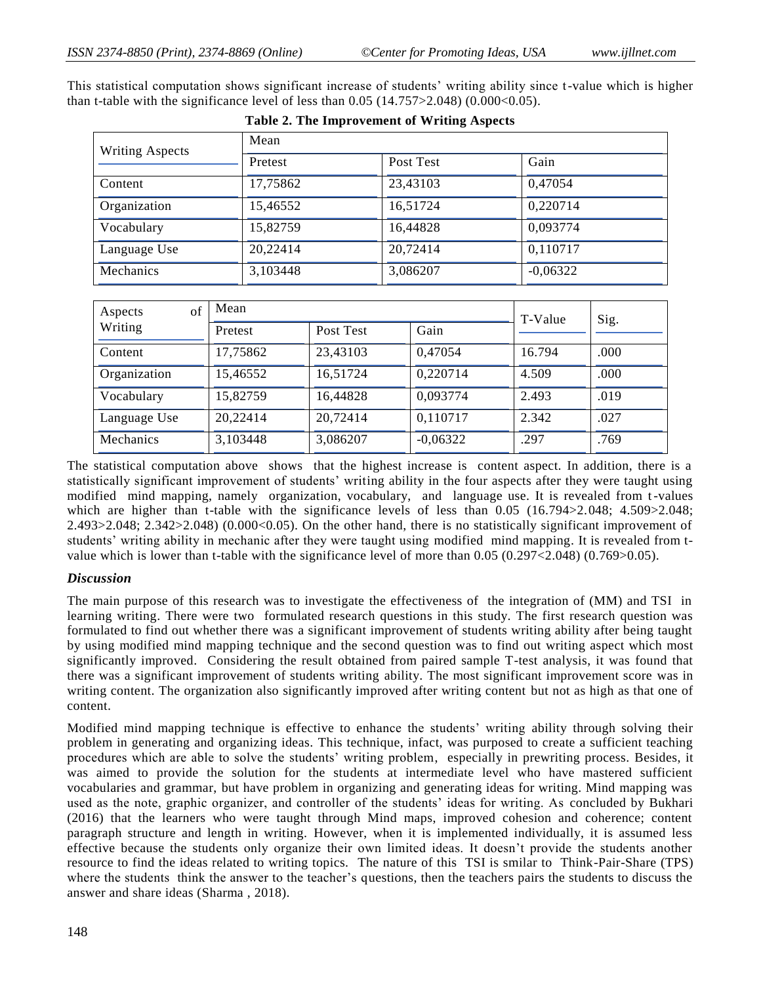| <b>Writing Aspects</b> | Mean     |           |            |  |  |  |
|------------------------|----------|-----------|------------|--|--|--|
|                        | Pretest  | Post Test | Gain       |  |  |  |
| Content                | 17,75862 | 23,43103  | 0,47054    |  |  |  |
| Organization           | 15,46552 | 16,51724  | 0,220714   |  |  |  |
| Vocabulary             | 15,82759 | 16,44828  | 0,093774   |  |  |  |
| Language Use           | 20,22414 | 20,72414  | 0,110717   |  |  |  |
| Mechanics              | 3,103448 | 3,086207  | $-0,06322$ |  |  |  |

This statistical computation shows significant increase of students' writing ability since t-value which is higher than t-table with the significance level of less than  $0.05$  (14.757>2.048) (0.000<0.05).

| Table 2. The Improvement of Writing Aspects |  |
|---------------------------------------------|--|
|---------------------------------------------|--|

| of<br>Aspects<br>Writing | Mean     | T-Value   | Sig.       |        |      |
|--------------------------|----------|-----------|------------|--------|------|
|                          | Pretest  | Post Test | Gain       |        |      |
| Content                  | 17,75862 | 23,43103  | 0,47054    | 16.794 | .000 |
| Organization             | 15,46552 | 16,51724  | 0,220714   | 4.509  | .000 |
| Vocabulary               | 15,82759 | 16,44828  | 0,093774   | 2.493  | .019 |
| Language Use             | 20,22414 | 20,72414  | 0,110717   | 2.342  | .027 |
| Mechanics                | 3,103448 | 3,086207  | $-0,06322$ | .297   | .769 |

The statistical computation above shows that the highest increase is content aspect. In addition, there is a statistically significant improvement of students' writing ability in the four aspects after they were taught using modified mind mapping, namely organization, vocabulary, and language use. It is revealed from t-values which are higher than t-table with the significance levels of less than 0.05 (16.794>2.048; 4.509>2.048; 2.493>2.048; 2.342>2.048) (0.000<0.05). On the other hand, there is no statistically significant improvement of students' writing ability in mechanic after they were taught using modified mind mapping. It is revealed from tvalue which is lower than t-table with the significance level of more than 0.05 (0.297<2.048) (0.769>0.05).

## *Discussion*

The main purpose of this research was to investigate the effectiveness of the integration of (MM) and TSI in learning writing. There were two formulated research questions in this study. The first research question was formulated to find out whether there was a significant improvement of students writing ability after being taught by using modified mind mapping technique and the second question was to find out writing aspect which most significantly improved. Considering the result obtained from paired sample T-test analysis, it was found that there was a significant improvement of students writing ability. The most significant improvement score was in writing content. The organization also significantly improved after writing content but not as high as that one of content.

Modified mind mapping technique is effective to enhance the students' writing ability through solving their problem in generating and organizing ideas. This technique, infact, was purposed to create a sufficient teaching procedures which are able to solve the students' writing problem, especially in prewriting process. Besides, it was aimed to provide the solution for the students at intermediate level who have mastered sufficient vocabularies and grammar, but have problem in organizing and generating ideas for writing. Mind mapping was used as the note, graphic organizer, and controller of the students' ideas for writing. As concluded by Bukhari (2016) that the learners who were taught through Mind maps, improved cohesion and coherence; content paragraph structure and length in writing. However, when it is implemented individually, it is assumed less effective because the students only organize their own limited ideas. It doesn't provide the students another resource to find the ideas related to writing topics. The nature of this TSI is smilar to Think-Pair-Share (TPS) where the students think the answer to the teacher's questions, then the teachers pairs the students to discuss the answer and share ideas (Sharma , 2018).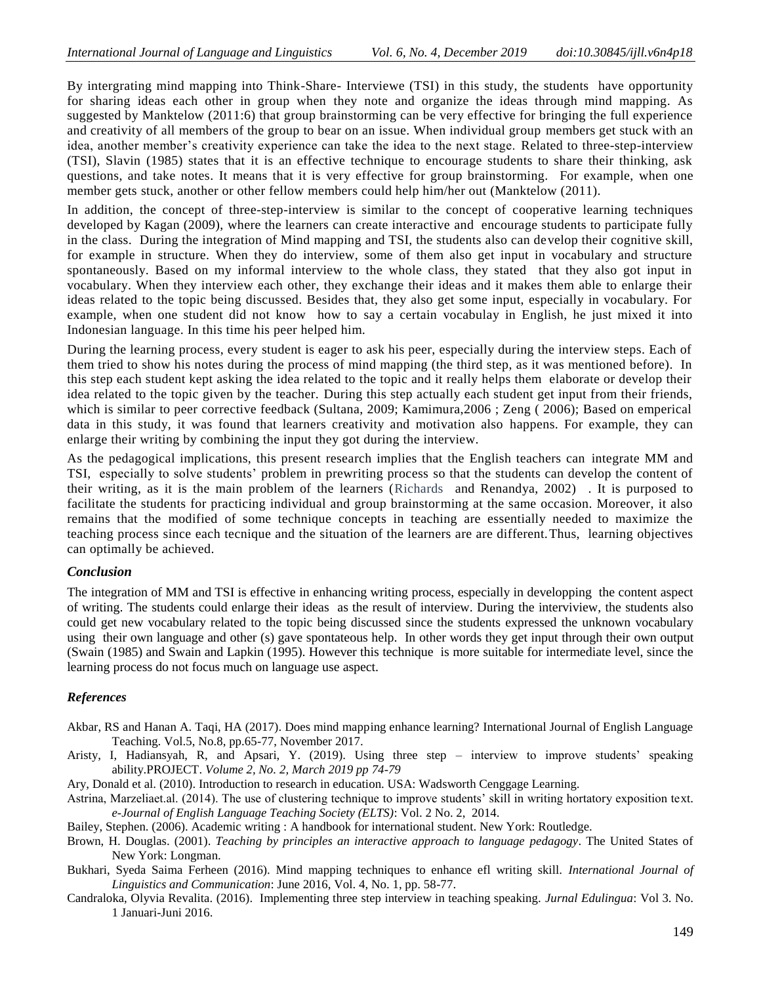By intergrating mind mapping into Think-Share- Interviewe (TSI) in this study, the students have opportunity for sharing ideas each other in group when they note and organize the ideas through mind mapping. As suggested by Manktelow (2011:6) that group brainstorming can be very effective for bringing the full experience and creativity of all members of the group to bear on an issue. When individual group members get stuck with an idea, another member's creativity experience can take the idea to the next stage. Related to three-step-interview (TSI), Slavin (1985) states that it is an effective technique to encourage students to share their thinking, ask questions, and take notes. It means that it is very effective for group brainstorming. For example, when one member gets stuck, another or other fellow members could help him/her out (Manktelow (2011).

In addition, the concept of three-step-interview is similar to the concept of cooperative learning techniques developed by Kagan (2009), where the learners can create interactive and encourage students to participate fully in the class. During the integration of Mind mapping and TSI, the students also can develop their cognitive skill, for example in structure. When they do interview, some of them also get input in vocabulary and structure spontaneously. Based on my informal interview to the whole class, they stated that they also got input in vocabulary. When they interview each other, they exchange their ideas and it makes them able to enlarge their ideas related to the topic being discussed. Besides that, they also get some input, especially in vocabulary. For example, when one student did not know how to say a certain vocabulay in English, he just mixed it into Indonesian language. In this time his peer helped him.

During the learning process, every student is eager to ask his peer, especially during the interview steps. Each of them tried to show his notes during the process of mind mapping (the third step, as it was mentioned before). In this step each student kept asking the idea related to the topic and it really helps them elaborate or develop their idea related to the topic given by the teacher. During this step actually each student get input from their friends, which is similar to peer corrective feedback (Sultana, 2009; Kamimura,2006 ; Zeng ( 2006); Based on emperical data in this study, it was found that learners creativity and motivation also happens. For example, they can enlarge their writing by combining the input they got during the interview.

As the pedagogical implications, this present research implies that the English teachers can integrate MM and TSI, especially to solve students' problem in prewriting process so that the students can develop the content of their writing, as it is the main problem of the learners (Richards and Renandya, 2002) . It is purposed to facilitate the students for practicing individual and group brainstorming at the same occasion. Moreover, it also remains that the modified of some technique concepts in teaching are essentially needed to maximize the teaching process since each tecnique and the situation of the learners are are different.Thus, learning objectives can optimally be achieved.

### *Conclusion*

The integration of MM and TSI is effective in enhancing writing process, especially in developping the content aspect of writing. The students could enlarge their ideas as the result of interview. During the interviview, the students also could get new vocabulary related to the topic being discussed since the students expressed the unknown vocabulary using their own language and other (s) gave spontateous help. In other words they get input through their own output (Swain (1985) and Swain and Lapkin (1995). However this technique is more suitable for intermediate level, since the learning process do not focus much on language use aspect.

## *References*

- Akbar, RS and Hanan A. Taqi, HA (2017). Does mind mapping enhance learning? International Journal of English Language Teaching. Vol.5, No.8, pp.65-77, November 2017.
- Aristy, I, Hadiansyah, R, and Apsari, Y. (2019). Using three step interview to improve students' speaking ability.PROJECT. *Volume 2, No. 2, March 2019 pp 74-79*

Ary, Donald et al. (2010). Introduction to research in education. USA: Wadsworth Cenggage Learning.

Astrina, Marzeliaet.al. (2014). The use of clustering technique to improve students' skill in writing hortatory exposition text. *e-Journal of English Language Teaching Society (ELTS)*: Vol. 2 No. 2, 2014.

Bailey, Stephen. (2006). Academic writing : A handbook for international student. New York: Routledge.

- Brown, H. Douglas. (2001). *Teaching by principles an interactive approach to language pedagogy*. The United States of New York: Longman.
- Bukhari, Syeda Saima Ferheen (2016). Mind mapping techniques to enhance efl writing skill. *International Journal of Linguistics and Communication*: June 2016, Vol. 4, No. 1, pp. 58-77.
- Candraloka, Olyvia Revalita. (2016). Implementing three step interview in teaching speaking. *Jurnal Edulingua*: Vol 3. No. 1 Januari-Juni 2016.